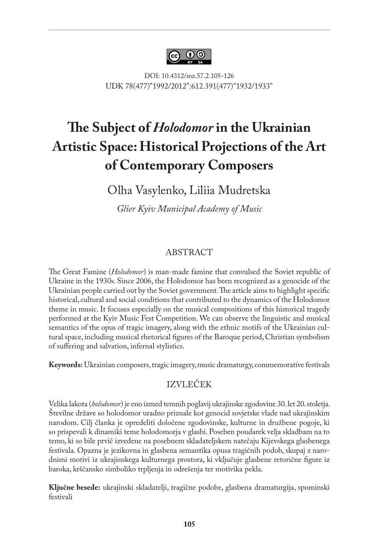

DOI: 10.4312/mz.57.2.105-126 UDK 78(477)"1992/2012":612.391(477)"1932/1933"

# **The Subject of** *Holodomor* **in the Ukrainian Artistic Space: Historical Projections of the Art of Contemporary Composers**

Olha Vasylenko, Liliia Mudretska

*Glier Kyiv Municipal Academy of Music*

#### ABSTRACT

The Great Famine (*Holodomor*) is man-made famine that convulsed the Soviet republic of Ukraine in the 1930s. Since 2006, the Holodomor has been recognized as a genocide of the Ukrainian people carried out by the Soviet government. The article aims to highlight specific historical, cultural and social conditions that contributed to the dynamics of the Holodomor theme in music. It focuses especially on the musical compositions of this historical tragedy performed at the Kyiv Music Fest Competition. We can observe the linguistic and musical semantics of the opus of tragic imagery, along with the ethnic motifs of the Ukrainian cultural space, including musical rhetorical figures of the Baroque period, Christian symbolism of suffering and salvation, infernal stylistics.

**Keywords:** Ukrainian composers, tragic imagery, music dramaturgy, commemorative festivals

#### IZVLEČEK

Velika lakota (*holodomor*) je eno izmed temnih poglavij ukrajinske zgodovine 30. let 20. stoletja. Številne države so holodomor uradno priznale kot genocid sovjetske vlade nad ukrajinskim narodom. Cilj članka je opredeliti določene zgodovinske, kulturne in družbene pogoje, ki so prispevali k dinamiki teme holodomorja v glasbi. Poseben poudarek velja skladbam na to temo, ki so bile prvič izvedene na posebnem skladateljskem natečaju Kijevskega glasbenega festivala. Opazna je jezikovna in glasbena semantika opusa tragičnih podob, skupaj z narodnimi motivi iz ukrajinskega kulturnega prostora, ki vključuje glasbene retorične figure iz baroka, krščansko simboliko trpljenja in odrešenja ter motivika pekla.

**Ključne besede:** ukrajinski skladatelji, tragične podobe, glasbena dramaturgija, spominski festivali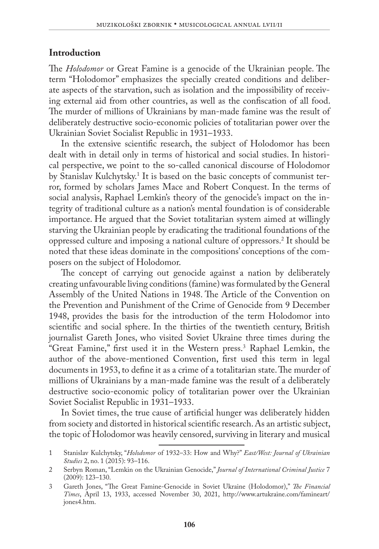#### **Introduction**

The *Holodomor* or Great Famine is a genocide of the Ukrainian people. The term "Holodomor" emphasizes the specially created conditions and deliberate aspects of the starvation, such as isolation and the impossibility of receiving external aid from other countries, as well as the confiscation of all food. The murder of millions of Ukrainians by man-made famine was the result of deliberately destructive socio-economic policies of totalitarian power over the Ukrainian Soviet Socialist Republic in 1931–1933.

In the extensive scientific research, the subject of Holodomor has been dealt with in detail only in terms of historical and social studies. In historical perspective, we point to the so-called canonical discourse of Holodomor by Stanislav Kulchytsky.<sup>1</sup> It is based on the basic concepts of communist terror, formed by scholars James Mace and Robert Conquest. In the terms of social analysis, Raphael Lemkin's theory of the genocide's impact on the integrity of traditional culture as a nation's mental foundation is of considerable importance. He argued that the Soviet totalitarian system aimed at willingly starving the Ukrainian people by eradicating the traditional foundations of the oppressed culture and imposing a national culture of oppressors.2 It should be noted that these ideas dominate in the compositions' conceptions of the composers on the subject of Holodomor.

The concept of carrying out genocide against a nation by deliberately creating unfavourable living conditions (famine) was formulated by the General Assembly of the United Nations in 1948. The Article of the Convention on the Prevention and Punishment of the Crime of Genocide from 9 December 1948, provides the basis for the introduction of the term Holodomor into scientific and social sphere. In the thirties of the twentieth century, British journalist Gareth Jones, who visited Soviet Ukraine three times during the "Great Famine," first used it in the Western press.3 Raphael Lemkin, the author of the above-mentioned Convention, first used this term in legal documents in 1953, to define it as a crime of a totalitarian state. The murder of millions of Ukrainians by a man-made famine was the result of a deliberately destructive socio-economic policy of totalitarian power over the Ukrainian Soviet Socialist Republic in 1931–1933.

In Soviet times, the true cause of artificial hunger was deliberately hidden from society and distorted in historical scientific research. As an artistic subject, the topic of Holodomor was heavily censored, surviving in literary and musical

<sup>1</sup> Stanislav Kulchytsky, "*Holodomor* of 1932–33: How and Why?" *East/West: Journal of Ukrainian Studies* 2, no. 1 (2015): 93–116.

<sup>2</sup> Serbyn Roman, "Lemkin on the Ukrainian Genocide," *Journal of International Criminal Justice* 7 (2009): 123–130.

<sup>3</sup> Gareth Jones, "The Great Famine-Genocide in Soviet Ukraine (Holodomor)," *The Financial Times*, April 13, 1933, accessed November 30, 2021, http://www.artukraine.com/famineart/ jones4.htm.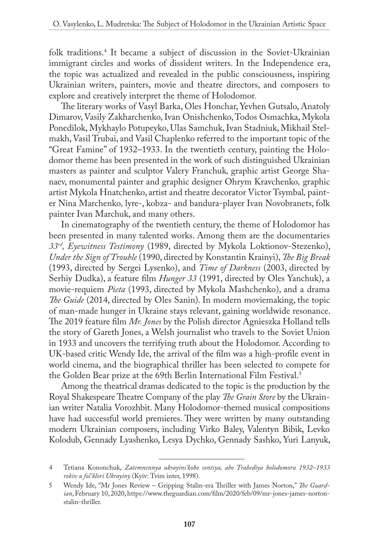folk traditions.4 It became a subject of discussion in the Soviet-Ukrainian immigrant circles and works of dissident writers. In the Independence era, the topic was actualized and revealed in the public consciousness, inspiring Ukrainian writers, painters, movie and theatre directors, and composers to explore and creatively interpret the theme of Holodomor*.*

The literary works of Vasyl Barka, Oles Honchar, Yevhen Gutsalo, Anatoly Dimarov, Vasily Zakharchenko, Ivan Onishchenko, Todos Osmachka, Mykola Ponedilok, Mykhaylo Potupeyko, Ulas Samchuk, Ivan Stadniuk, Mikhail Stelmakh, Vasil Trubai, and Vasil Chaplenko referred to the important topic of the "Great Famine" of 1932–1933. In the twentieth century, painting the Holodomor theme has been presented in the work of such distinguished Ukrainian masters as painter and sculptor Valery Franchuk*,* graphic artist George Shanaev, monumental painter and graphic designer Ohrym Kravchenko*,* graphic artist Mykola Hnatchenko, artist and theatre decorator Victor Tsymbal*,* painter Nina Marchenko*,* lyre-, kobza- and bandura-player Ivan Novobranets, folk painter Ivan Marchuk, and many others.

In cinematography of the twentieth century, the theme of Holodomor has been presented in many talented works. Among them are the documentaries *33rd, Eyewitness Testimony* (1989, directed by Mykola Loktionov-Stezenko), *Under the Sign of Trouble* (1990, directed by Konstantin Krainyi), *The Big Break* (1993, directed by Sergei Lysenko), and *Time of Darkness* (2003, directed by Serhiy Dudka), a feature film *Hunger 33* (1991, directed by Oles Yanchuk), a movie-requiem *Pieta* (1993, directed by Mykola Mashchenko), and a drama *The Guide* (2014, directed by Oles Sanin). In modern moviemaking, the topic of man-made hunger in Ukraine stays relevant, gaining worldwide resonance. The 2019 feature film *Mr. Jones* by the Polish director Agnieszka Holland tells the story of Gareth Jones, a Welsh journalist who travels to the Soviet Union in 1933 and uncovers the terrifying truth about the Holodomor. According to UK-based critic Wendy Ide, the arrival of the film was a high-profile event in world cinema, and the biographical thriller has been selected to compete for the Golden Bear prize at the 69th Berlin International Film Festival.<sup>5</sup>

Among the theatrical dramas dedicated to the topic is the production by the Royal Shakespeare Theatre Company of the play *The Grain Store* by the Ukrainian writer Natalia Vorozhbit. Many Holodomor-themed musical compositions have had successful world premieres. They were written by many outstanding modern Ukrainian composers, including Virko Baley, Valentyn Bibik, Levko Kolodub, Gennady Lyashenko, Lesya Dychko, Gennady Sashko, Yuri Lanyuk,

<sup>4</sup> Tetiana Kononchuk, *Zatemnennya ukrayins'koho sontsya, abo Trahediya holodomoru 1932–1933 rokiv u fol'klori Ukrayiny* (Kyiv: Tvim inter, 1998).

<sup>5</sup> Wendy Ide, "Mr Jones Review – Gripping Stalin-era Thriller with James Norton," *The Guardian*, February 10, 2020, [https://www.theguardian.com/film/2020/feb/09/mr-jones-james-norton](https://www.theguardian.com/film/2020/feb/09/mr-jones-james-norton-stalin-thriller)[stalin-thriller.](https://www.theguardian.com/film/2020/feb/09/mr-jones-james-norton-stalin-thriller)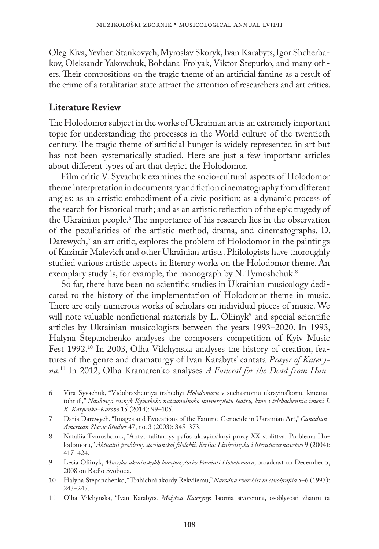Oleg Kiva, Yevhen Stankovych, Myroslav Skoryk, Ivan Karabyts, Igor Shcherbakov, Oleksandr Yakovchuk, Bohdana Frolyak, Viktor Stepurko, and many others. Their compositions on the tragic theme of an artificial famine as a result of the crime of a totalitarian state attract the attention of researchers and art critics.

#### **Literature Review**

The Holodomor subject in the works of Ukrainian art is an extremely important topic for understanding the processes in the World culture of the twentieth century. The tragic theme of artificial hunger is widely represented in art but has not been systematically studied. Here are just a few important articles about different types of art that depict the Holodomor.

Film critic V. Syvachuk examines the socio-cultural aspects of Holodomor theme interpretation in documentary and fiction cinematography from different angles: as an artistic embodiment of a civic position; as a dynamic process of the search for historical truth; and as an artistic reflection of the epic tragedy of the Ukrainian people.6 The importance of his research lies in the observation of the peculiarities of the artistic method, drama, and cinematographs. D. Darewych,' an art critic, explores the problem of Holodomor in the paintings of Kazimir Malevich and other Ukrainian artists. Philologists have thoroughly studied various artistic aspects in literary works on the Holodomor theme. An exemplary study is, for example, the monograph by N. Tymoshchuk.<sup>8</sup>

So far, there have been no scientific studies in Ukrainian musicology dedicated to the history of the implementation of Holodomor theme in music. There are only numerous works of scholars on individual pieces of music. We will note valuable nonfictional materials by L. Oliinyk<sup>9</sup> and special scientific articles by Ukrainian musicologists between the years 1993–2020. In 1993, Halyna Stepanchenko analyses the composers competition of Kyiv Music Fest 1992.10 In 2003, Olha Vilchynska analyses the history of creation, features of the genre and dramaturgy of Ivan Karabyts' cantata *Prayer of Kateryna*. 11 In 2012, Olha Kramarenko analyses *A Funeral for the Dead from Hun-*

- 9 Lesia Oliinyk, *Muzyka ukrainskykh kompozytoriv Pamiati Holodomoru*, broadcast on December 5, 2008 on Radio Svoboda.
- 10 Halyna Stepanchenko, "Trahichni akordy Rekviiemu," *Narodna tvorchist ta etnohrafiia* 5–6 (1993): 243–245.
- 11 Olha Vilchynska, "Ivan Karabyts. *Molytva Kateryny*: Istoriia stvorennia, osoblyvosti zhanru ta

<sup>6</sup> Vira Syvachuk, "Vidobrazhennya trahediyi *Holodomoru* v suchasnomu ukrayins'komu kinematohrafi," *Naukovyi visnyk Kyivskoho natsionalnoho universytetu teatru, kino i telebachennia imeni I. K. Karpenka-Karoho* 15 (2014): 99–105.

<sup>7</sup> Daria Darewych, "Images and Evocations of the Famine-Genocide in Ukrainian Art," *Canadian-American Slavic Studies* 47, no. 3 (2003): 345–373.

<sup>8</sup> Nataliia Tymoshchuk, "Antytotalitarnyy pafos ukrayins'koyi prozy XX stolittya: Problema Holodomoru," *Aktualni problemy slovianskoi filolohii. Seriia: Linhvistyka i literaturoznavstvo* 9 (2004): 417–424.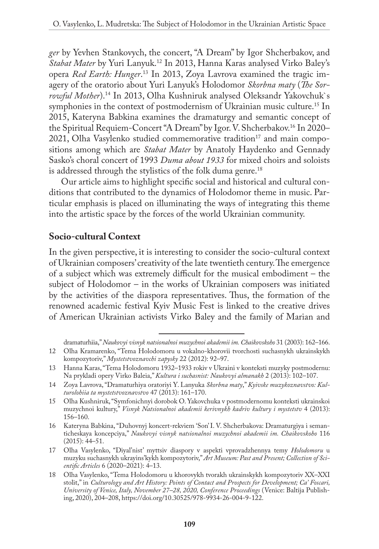*ger* by Yevhen Stankovych, the concert, "A Dream" by Igor Shcherbakov, and *Stabat Mater* by Yuri Lanyuk.12 In 2013, Hanna Karas analysed Virko Baley's opera *Red Earth: Hunger*. 13 In 2013, Zoya Lavrova examined the tragic imagery of the oratorio about Yuri Lanyuk's Holodomor *Skorbna maty* (*The Sorrowful Mother*).14 In 2013, Olha Kushniruk analysed Oleksandr Yakovchuk`s symphonies in the context of postmodernism of Ukrainian music culture.<sup>15</sup> In 2015, Kateryna Babkina examines the dramaturgy and semantic concept of the Spiritual Requiem-Concert "A Dream" by Igor. V. Shcherbakov.16 In 2020– 2021, Olha Vasylenko studied commemorative tradition<sup>17</sup> and main compositions among which are *Stabat Mater* by Anatoly Haydenko and Gennady Sasko's choral concert of 1993 *Duma about 1933* for mixed choirs and soloists is addressed through the stylistics of the folk duma genre.<sup>18</sup>

Our article aims to highlight specific social and historical and cultural conditions that contributed to the dynamics of Holodomor theme in music. Particular emphasis is placed on illuminating the ways of integrating this theme into the artistic space by the forces of the world Ukrainian community.

#### **Socio-cultural Context**

In the given perspective, it is interesting to consider the socio-cultural context of Ukrainian composers' creativity of the late twentieth century. The emergence of a subject which was extremely difficult for the musical embodiment – the subject of Holodomor – in the works of Ukrainian composers was initiated by the activities of the diaspora representatives. Thus, the formation of the renowned academic festival Kyiv Music Fest is linked to the creative drives of American Ukrainian activists Virko Baley and the family of Marian and

dramaturhiia," *Naukovyi visnyk natsionalnoi muzychnoi akademii im. Chaikovskoho* 31 (2003): 162–166. 12 Olha Kramarenko, "Tema Holodomoru u vokalno-khorovii tvorchosti suchasnykh ukrainskykh

kompozytoriv," *Mystetstvoznavchi zapysky* 22 (2012): 92–97. 13 Hanna Karas, "Tema Holodomoru 1932–1933 rokiv v Ukraini v konteksti muzyky postmodernu: Na prykladi opery Virko Baleia," *Kultura i suchasnist: Naukovyi almanakh* 2 (2013): 102–107.

<sup>14</sup> Zoya Lavrova, "Dramaturhiya oratoriyi Y. Lanyuka *Skorbna maty*," *Kyivske muzykoznavstvo: Kulturolohiia ta mystetstvoznavstvo* 47 (2013): 161–170.

<sup>15</sup> Olha Kushniruk, "Symfonichnyi dorobok O. Yakovchuka v postmodernomu konteksti ukrainskoi muzychnoi kultury," *Visnyk Natsionalnoi akademii kerivnykh kadriv kultury i mystetstv* 4 (2013): 156–160.

<sup>16</sup> Kateryna Babkina, "Duhovnyj koncert-rekviem 'Son' I. V. Shcherbakova: Dramaturgiya i semanticheskaya koncepciya," *Naukovyi visnyk natsionalnoi muzychnoi akademii im. Chaikovskoho* 116 (2015): 44–51.

<sup>17</sup> Olha Vasylenko, "Diyal'nist' myttsiv diaspory v aspekti vprovadzhennya temy *Holodomoru* u muzyku suchasnykh ukrayins'kykh kompozytoriv," *Art Museum: Past and Present; Collection of Scientific Articles* 6 (2020–2021): 4–13.

<sup>18</sup> Olha Vasylenko, "Tema Holodomoru u khorovykh tvorakh ukrainskykh kompozytoriv XX–XXI stolit," in *Culturology and Art History: Points of Contact and Prospects for Development; Ca' Foscari, University of Venice, Italy, November 27–28, 2020, Conference Proceedings* (Venice: Baltija Publishing, 2020), 204–208, [https://doi.org/10.30525/978-9934-26-004-9-122.](https://doi.org/10.30525/978-9934-26-004-9-122)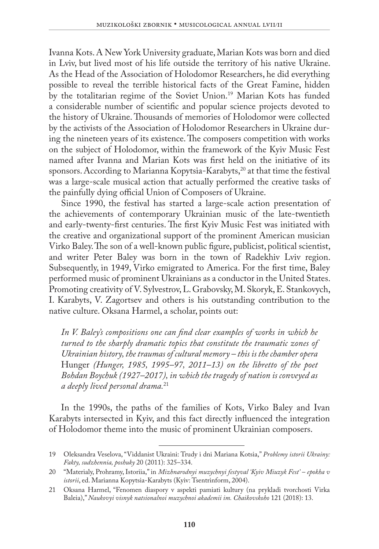Ivanna Kots. A New York University graduate, Marian Kots was born and died in Lviv, but lived most of his life outside the territory of his native Ukraine. As the Head of the Association of Holodomor Researchers, he did everything possible to reveal the terrible historical facts of the Great Famine, hidden by the totalitarian regime of the Soviet Union.19 Marian Kots has funded a considerable number of scientific and popular science projects devoted to the history of Ukraine. Thousands of memories of Holodomor were collected by the activists of the Association of Holodomor Researchers in Ukraine during the nineteen years of its existence. The composers competition with works on the subject of Holodomor, within the framework of the Kyiv Music Fest named after Ivanna and Marian Kots was first held on the initiative of its sponsors. According to Marianna Kopytsia-Karabyts,<sup>20</sup> at that time the festival was a large-scale musical action that actually performed the creative tasks of the painfully dying official Union of Composers of Ukraine.

Since 1990, the festival has started a large-scale action presentation of the achievements of contemporary Ukrainian music of the late-twentieth and early-twenty-first centuries. The first Kyiv Music Fest was initiated with the creative and organizational support of the prominent American musician Virko Baley. The son of a well-known public figure, publicist, political scientist, and writer Peter Baley was born in the town of Radekhiv Lviv region. Subsequently, in 1949, Virko emigrated to America. For the first time, Baley performed music of prominent Ukrainians as a conductor in the United States. Promoting creativity of V. Sylvestrov, L. Grabovsky, M. Skoryk, E. Stankovych, I. Karabyts, V. Zagortsev and others is his outstanding contribution to the native culture. Oksana Harmel, a scholar, points out:

*In V. Baley's compositions one can find clear examples of works in which he turned to the sharply dramatic topics that constitute the traumatic zones of Ukrainian history, the traumas of cultural memory – this is the chamber opera*  Hunger *(Hunger, 1985, 1995–97, 2011–13) on the libretto of the poet Bohdan Boychuk (1927–2017), in which the tragedy of nation is conveyed as a deeply lived personal drama.*<sup>21</sup>

In the 1990s, the paths of the families of Kots, Virko Baley and Ivan Karabyts intersected in Kyiv, and this fact directly influenced the integration of Holodomor theme into the music of prominent Ukrainian composers.

<sup>19</sup> Oleksandra Veselova, "Viddanist Ukraini: Trudy i dni Mariana Kotsia," *Problemy istorii Ukrainy: Fakty, sudzhennia, poshuky* 20 (2011): 325–334.

<sup>20</sup> "Materialy, Prohramy, Istoriia," in *Mizhnarodnyi muzychnyi festyval 'Kyiv Miuzyk Fest' – epokha v istorii*, ed. Marianna Kopytsia-Karabyts (Kyiv: Tsentrinform, 2004).

<sup>21</sup> Oksana Harmel, "Fenomen diaspory v aspekti pamiati kultury (na prykladi tvorchosti Virka Baleia)," *Naukovyi visnyk natsionalnoi muzychnoi akademii im. Chaikovskoho* 121 (2018): 13.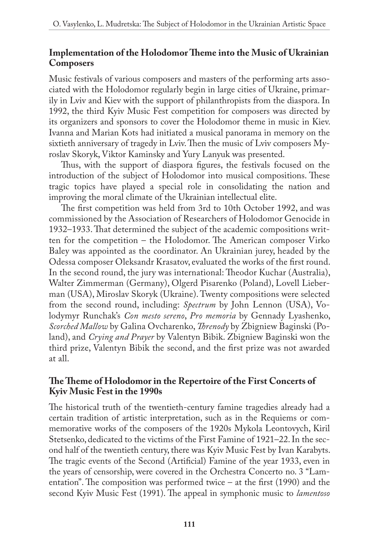#### **Implementation of the Holodomor Theme into the Music of Ukrainian Composers**

Music festivals of various composers and masters of the performing arts associated with the Holodomor regularly begin in large cities of Ukraine, primarily in Lviv and Kiev with the support of philanthropists from the diaspora. In 1992, the third Kyiv Music Fest competition for composers was directed by its organizers and sponsors to cover the Holodomor theme in music in Kiev. Ivanna and Marian Kots had initiated a musical panorama in memory on the sixtieth anniversary of tragedy in Lviv. Then the music of Lviv composers Myroslav Skoryk, Viktor Kaminsky and Yury Lanyuk was presented.

Thus, with the support of diaspora figures, the festivals focused on the introduction of the subject of Holodomor into musical compositions. These tragic topics have played a special role in consolidating the nation and improving the moral climate of the Ukrainian intellectual elite.

The first competition was held from 3rd to 10th October 1992, and was commissioned by the Association of Researchers of Holodomor Genocide in 1932–1933. That determined the subject of the academic compositions written for the competition – the Holodomor. The American composer Virko Baley was appointed as the coordinator. An Ukrainian jurey, headed by the Odessa composer Oleksandr Krasatov, evaluated the works of the first round. In the second round, the jury was international: Theodor Kuchar (Australia), Walter Zimmerman (Germany), Olgerd Pisarenko (Poland), Lovell Lieberman (USA), Miroslav Skoryk (Ukraine). Twenty compositions were selected from the second round, including: *Spectrum* by John Lennon (USA), Volodymyr Runchak's *Con mesto sereno*, *Pro memoria* by Gennady Lyashenko, *Scorched Mallow* by Galina Ovcharenko, *Threnody* by Zbigniew Baginski (Poland), and *Crying and Prayer* by Valentyn Bibik. Zbigniew Baginski won the third prize, Valentyn Bibik the second, and the first prize was not awarded at all.

#### **The Theme of Holodomor in the Repertoire of the First Concerts of Kyiv Music Fest in the 1990s**

The historical truth of the twentieth-century famine tragedies already had a certain tradition of artistic interpretation, such as in the Requiems or commemorative works of the composers of the 1920s Mykola Leontovych, Kiril Stetsenko, dedicated to the victims of the First Famine of 1921–22. In the second half of the twentieth century, there was Kyiv Music Fest by Ivan Karabyts. The tragic events of the Second (Artificial) Famine of the year 1933, even in the years of censorship, were covered in the Orchestra Concerto no. 3 "Lamentation". The composition was performed twice – at the first (1990) and the second Kyiv Music Fest (1991). The appeal in symphonic music to *lamentoso*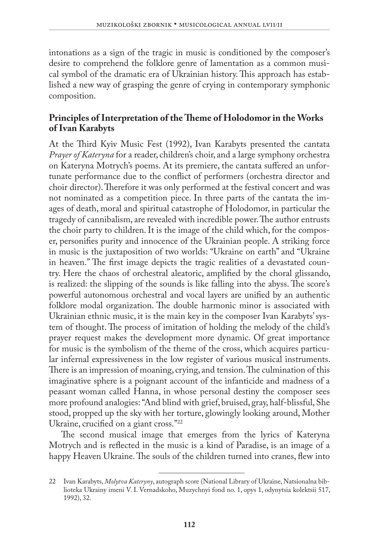intonations as a sign of the tragic in music is conditioned by the composer's desire to comprehend the folklore genre of lamentation as a common musical symbol of the dramatic era of Ukrainian history. This approach has established a new way of grasping the genre of crying in contemporary symphonic composition.

#### **Principles of Interpretation of the Theme of Holodomor in the Works of Ivan Karabyts**

At the Third Kyiv Music Fest (1992), Ivan Karabyts presented the cantata *Prayer of Kateryna* for a reader, children's choir, and a large symphony orchestra on Kateryna Motrych's poems. At its premiere, the cantata suffered an unfortunate performance due to the conflict of performers (orchestra director and choir director). Therefore it was only performed at the festival concert and was not nominated as a competition piece. In three parts of the cantata the images of death, moral and spiritual catastrophe of Holodomor, in particular the tragedy of cannibalism, are revealed with incredible power. The author entrusts the choir party to children. It is the image of the child which, for the composer, personifies purity and innocence of the Ukrainian people. A striking force in music is the juxtaposition of two worlds: "Ukraine on earth" and "Ukraine in heaven." The first image depicts the tragic realities of a devastated country. Here the chaos of orchestral aleatoric, amplified by the choral glissando, is realized: the slipping of the sounds is like falling into the abyss. The score's powerful autonomous orchestral and vocal layers are unified by an authentic folklore modal organization. The double harmonic minor is associated with Ukrainian ethnic music, it is the main key in the composer Ivan Karabyts' system of thought. The process of imitation of holding the melody of the child's prayer request makes the development more dynamic. Of great importance for music is the symbolism of the theme of the cross, which acquires particular infernal expressiveness in the low register of various musical instruments. There is an impression of moaning, crying, and tension. The culmination of this imaginative sphere is a poignant account of the infanticide and madness of a peasant woman called Hanna, in whose personal destiny the composer sees more profound analogies: "And blind with grief, bruised, gray, half-blissful, She stood, propped up the sky with her torture, glowingly looking around, Mother Ukraine, crucified on a giant cross."22

The second musical image that emerges from the lyrics of Kateryna Motrych and is reflected in the music is a kind of Paradise, is an image of a happy Heaven Ukraine. The souls of the children turned into cranes, flew into

<sup>22</sup> Ivan Karabyts, *Molytva Kateryny*, autograph score (National Library of Ukraine, Natsionalna biblioteka Ukrainy imeni V. I. Vernadskoho, Muzychnyi fond no. 1, opys 1, odynytsia kolektsii 517, 1992), 32.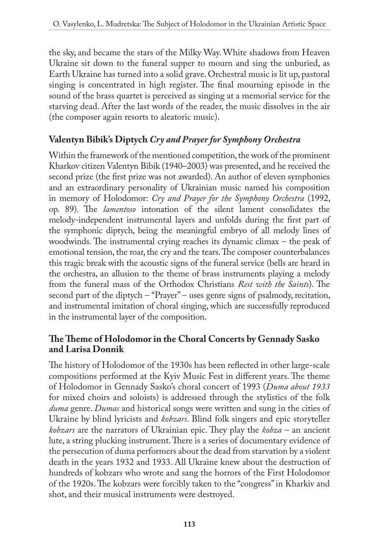the sky, and became the stars of the Milky Way. White shadows from Heaven Ukraine sit down to the funeral supper to mourn and sing the unburied, as Earth Ukraine has turned into a solid grave. Orchestral music is lit up, pastoral singing is concentrated in high register. The final mourning episode in the sound of the brass quartet is perceived as singing at a memorial service for the starving dead. After the last words of the reader, the music dissolves in the air (the composer again resorts to aleatoric music).

## **Valentyn Bibik's Diptych** *Cry and Prayer for Symphony Orchestra*

Within the framework of the mentioned competition, the work of the prominent Kharkov citizen Valentyn Bibik (1940–2003) was presented, and he received the second prize (the first prize was not awarded). An author of eleven symphonies and an extraordinary personality of Ukrainian music named his composition in memory of Holodomor: *Cry and Prayer for the Symphony Orchestra* (1992, op. 89). The *lamentoso* intonation of the silent lament consolidates the melody-independent instrumental layers and unfolds during the first part of the symphonic diptych, being the meaningful embryo of all melody lines of woodwinds. The instrumental crying reaches its dynamic climax – the peak of emotional tension, the roar, the cry and the tears. The composer counterbalances this tragic break with the acoustic signs of the funeral service (bells are heard in the orchestra, an allusion to the theme of brass instruments playing a melody from the funeral mass of the Orthodox Christians *Rest with the Saints*). The second part of the diptych – "Prayer" – uses genre signs of psalmody, recitation, and instrumental imitation of choral singing, which are successfully reproduced in the instrumental layer of the composition.

## **The Theme of Holodomor in the Choral Concerts by Gennady Sasko and Larisa Donnik**

The history of Holodomor of the 1930s has been reflected in other large-scale compositions performed at the Kyiv Music Fest in different years. The theme of Holodomor in Gennady Sasko's choral concert of 1993 (*Duma about 1933*  for mixed choirs and soloists) is addressed through the stylistics of the folk *duma* genre. *Dumas* and historical songs were written and sung in the cities of Ukraine by blind lyricists and *kobzars*. Blind folk singers and epic storyteller *kobzars* are the narrators of Ukrainian epic. They play the *kobza* – an ancient lute, a string plucking instrument. There is a series of documentary evidence of the persecution of duma performers about the dead from starvation by a violent death in the years 1932 and 1933. All Ukraine knew about the destruction of hundreds of kobzars who wrote and sang the horrors of the First Holodomor of the 1920s. The kobzars were forcibly taken to the "congress" in Kharkiv and shot, and their musical instruments were destroyed.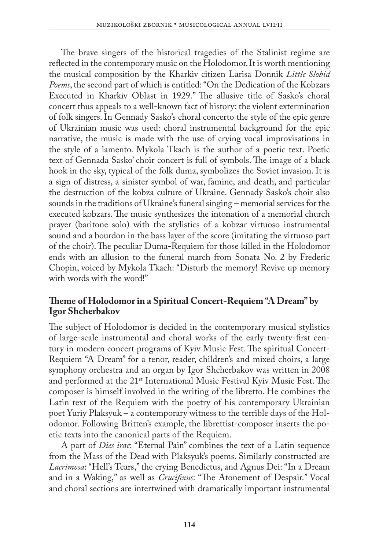The brave singers of the historical tragedies of the Stalinist regime are reflected in the contemporary music on the Holodomor. It is worth mentioning the musical composition by the Kharkiv citizen Larisa Donnik *Little Slobid Poems*, the second part of which is entitled: "On the Dedication of the Kobzars Executed in Kharkiv Oblast in 1929." The allusive title of Sasko's choral concert thus appeals to a well-known fact of history: the violent extermination of folk singers. In Gennady Sasko's choral concerto the style of the epic genre of Ukrainian music was used: choral instrumental background for the epic narrative, the music is made with the use of crying vocal improvisations in the style of a lamento. Mykola Tkach is the author of a poetic text. Poetic text of Gennada Sasko' choir concert is full of symbols. The image of a black hook in the sky, typical of the folk duma, symbolizes the Soviet invasion. It is a sign of distress, a sinister symbol of war, famine, and death, and particular the destruction of the kobza culture of Ukraine. Gennady Sasko's choir also sounds in the traditions of Ukraine's funeral singing – memorial services for the executed kobzars. The music synthesizes the intonation of a memorial church prayer (baritone solo) with the stylistics of a kobzar virtuoso instrumental sound and a bourdon in the bass layer of the score (imitating the virtuoso part of the choir). The peculiar Duma-Requiem for those killed in the Holodomor ends with an allusion to the funeral march from Sonata No. 2 by Frederic Chopin, voiced by Mykola Tkach: "Disturb the memory! Revive up memory with words with the word!"

## **Theme of Holodomor in a Spiritual Concert-Requiem "A Dream" by Igor Shcherbakov**

The subject of Holodomor is decided in the contemporary musical stylistics of large-scale instrumental and choral works of the early twenty-first century in modern concert programs of Kyiv Music Fest. The spiritual Concert-Requiem "A Dream" for a tenor, reader, children's and mixed choirs, a large symphony orchestra and an organ by Igor Shcherbakov was written in 2008 and performed at the 21<sup>st</sup> International Music Festival Kyiv Music Fest. The composer is himself involved in the writing of the libretto. He combines the Latin text of the Requiem with the poetry of his contemporary Ukrainian poet Yuriy Plaksyuk – a contemporary witness to the terrible days of the Holodomor. Following Britten's example, the librettist-composer inserts the poetic texts into the canonical parts of the Requiem.

A part of *Dies irae*: "Eternal Pain" combines the text of a Latin sequence from the Mass of the Dead with Plaksyuk's poems. Similarly constructed are *Lacrimosa*: "Hell's Tears," the crying Benedictus, and Agnus Dei: "In a Dream and in a Waking," as well as *Crucifixus*: "The Atonement of Despair." Vocal and choral sections are intertwined with dramatically important instrumental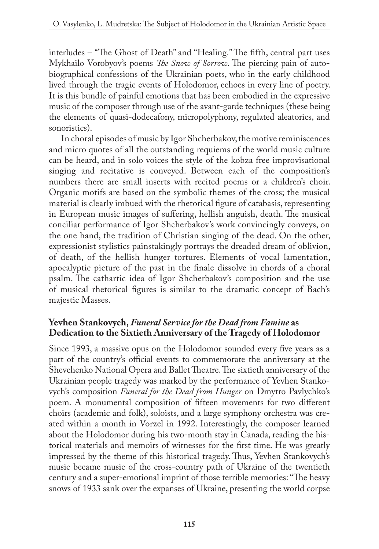interludes – "The Ghost of Death" and "Healing." The fifth, central part uses Mykhailo Vorobyov's poems *The Snow of Sorrow*. The piercing pain of autobiographical confessions of the Ukrainian poets, who in the early childhood lived through the tragic events of Holodomor, echoes in every line of poetry. It is this bundle of painful emotions that has been embodied in the expressive music of the composer through use of the avant-garde techniques (these being the elements of quasi-dodecafony, micropolyphony, regulated aleatorics, and sonoristics).

In choral episodes of music by Igor Shcherbakov, the motive reminiscences and micro quotes of all the outstanding requiems of the world music culture can be heard, and in solo voices the style of the kobza free improvisational singing and recitative is conveyed. Between each of the composition's numbers there are small inserts with recited poems or a children's choir. Organic motifs are based on the symbolic themes of the cross; the musical material is clearly imbued with the rhetorical figure of catabasis, representing in European music images of suffering, hellish anguish, death. The musical conciliar performance of Igor Shcherbakov's work convincingly conveys, on the one hand, the tradition of Christian singing of the dead. On the other, expressionist stylistics painstakingly portrays the dreaded dream of oblivion, of death, of the hellish hunger tortures. Elements of vocal lamentation, apocalyptic picture of the past in the finale dissolve in chords of a choral psalm. The cathartic idea of Igor Shcherbakov's composition and the use of musical rhetorical figures is similar to the dramatic concept of Bach's majestic Masses.

## **Yevhen Stankovych,** *Funeral Service for the Dead from Famine* **as Dedication to the Sixtieth Anniversary of the Tragedy of Holodomor**

Since 1993, a massive opus on the Holodomor sounded every five years as a part of the country's official events to commemorate the anniversary at the Shevchenko National Opera and Ballet Theatre. The sixtieth anniversary of the Ukrainian people tragedy was marked by the performance of Yevhen Stankovych's composition *Funeral for the Dead from Hunger* on Dmytro Pavlychko's poem. A monumental composition of fifteen movements for two different choirs (academic and folk), soloists, and a large symphony orchestra was created within a month in Vorzel in 1992. Interestingly, the composer learned about the Holodomor during his two-month stay in Canada, reading the historical materials and memoirs of witnesses for the first time. He was greatly impressed by the theme of this historical tragedy. Thus, Yevhen Stankovych's music became music of the cross-country path of Ukraine of the twentieth century and a super-emotional imprint of those terrible memories: "The heavy snows of 1933 sank over the expanses of Ukraine, presenting the world corpse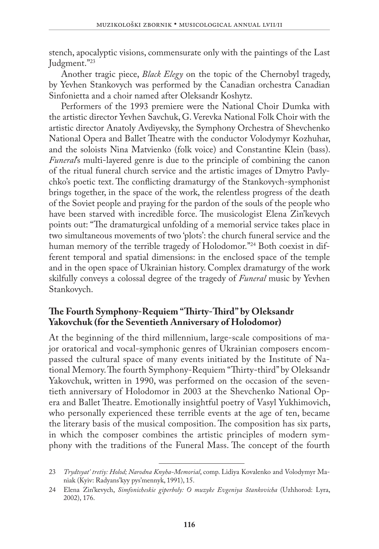stench, apocalyptic visions, commensurate only with the paintings of the Last Judgment."23

Another tragic piece, *Black Elegy* on the topic of the Chernobyl tragedy, by Yevhen Stankovych was performed by the Canadian orchestra Canadian Sinfonietta and a choir named after Oleksandr Koshytz.

Performers of the 1993 premiere were the National Choir Dumka with the artistic director Yevhen Savchuk, G. Verevka National Folk Choir with the artistic director Anatoly Avdiyevsky, the Symphony Orchestra of Shevchenko National Opera and Ballet Theatre with the conductor Volodymyr Kozhuhar, and the soloists Nina Matvienko (folk voice) and Constantine Klein (bass). *Funeral*'s multi-layered genre is due to the principle of combining the canon of the ritual funeral church service and the artistic images of Dmytro Pavlychko's poetic text. The conflicting dramaturgy of the Stankovych-symphonist brings together, in the space of the work, the relentless progress of the death of the Soviet people and praying for the pardon of the souls of the people who have been starved with incredible force. The musicologist Elena Zin'kevych points out: "The dramaturgical unfolding of a memorial service takes place in two simultaneous movements of two 'plots': the church funeral service and the human memory of the terrible tragedy of Holodomor."<sup>24</sup> Both coexist in different temporal and spatial dimensions: in the enclosed space of the temple and in the open space of Ukrainian history. Complex dramaturgy of the work skilfully conveys a colossal degree of the tragedy of *Funeral* music by Yevhen Stankovych.

#### **The Fourth Symphony-Requiem "Thirty-Third" by Oleksandr Yakovchuk (for the Seventieth Anniversary of Holodomor)**

At the beginning of the third millennium, large-scale compositions of major oratorical and vocal-symphonic genres of Ukrainian composers encompassed the cultural space of many events initiated by the Institute of National Memory. The fourth Symphony-Requiem "Thirty-third" by Oleksandr Yakovchuk, written in 1990, was performed on the occasion of the seventieth anniversary of Holodomor in 2003 at the Shevchenko National Opera and Ballet Theatre. Emotionally insightful poetry of Vasyl Yukhimovich, who personally experienced these terrible events at the age of ten, became the literary basis of the musical composition. The composition has six parts, in which the composer combines the artistic principles of modern symphony with the traditions of the Funeral Mass. The concept of the fourth

<sup>23</sup> *Trydtsyat' tretiy: Holod; Narodna Knyha-Memorial*, comp. Lidiya Kovalenko and Volodymyr Maniak (Kyiv: Radyans'kyy pys'mennyk, 1991), 15.

<sup>24</sup> Elena Zin'kevych, *Simfonicheskie giperboly: O muzyke Evgeniya Stankovicha* (Uzhhorod: Lyra, 2002), 176.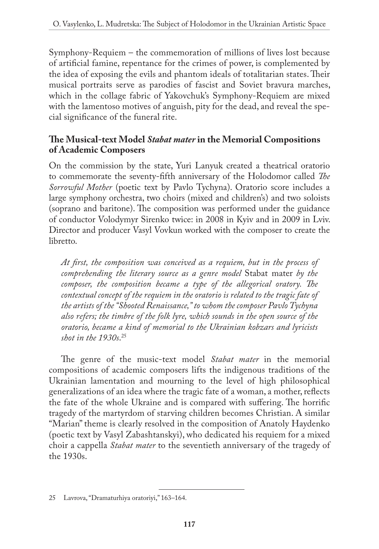Symphony-Requiem – the commemoration of millions of lives lost because of artificial famine, repentance for the crimes of power, is complemented by the idea of exposing the evils and phantom ideals of totalitarian states. Their musical portraits serve as parodies of fascist and Soviet bravura marches, which in the collage fabric of Yakovchuk's Symphony-Requiem are mixed with the lamentoso motives of anguish, pity for the dead, and reveal the special significance of the funeral rite.

## **The Musical-text Model** *Stabat mater* **in the Memorial Compositions of Academic Composers**

On the commission by the state, Yuri Lanyuk created a theatrical oratorio to commemorate the seventy-fifth anniversary of the Holodomor called *The Sorrowful Mother* (poetic text by Pavlo Tychyna). Oratorio score includes a large symphony orchestra, two choirs (mixed and children's) and two soloists (soprano and baritone). The composition was performed under the guidance of conductor Volodymyr Sirenko twice: in 2008 in Kyiv and in 2009 in Lviv. Director and producer Vasyl Vovkun worked with the composer to create the libretto.

*At first, the composition was conceived as a requiem, but in the process of comprehending the literary source as a genre model* Stabat mater *by the composer, the composition became a type of the allegorical oratory. The contextual concept of the requiem in the oratorio is related to the tragic fate of the artists of the "Shooted Renaissance," to whom the composer Pavlo Tychyna also refers; the timbre of the folk lyre, which sounds in the open source of the oratorio, became a kind of memorial to the Ukrainian kobzars and lyricists shot in the 1930s*. 25

The genre of the music-text model *Stabat mater* in the memorial compositions of academic composers lifts the indigenous traditions of the Ukrainian lamentation and mourning to the level of high philosophical generalizations of an idea where the tragic fate of a woman, a mother, reflects the fate of the whole Ukraine and is compared with suffering. The horrific tragedy of the martyrdom of starving children becomes Christian. A similar "Marian" theme is clearly resolved in the composition of Anatoly Haydenko (poetic text by Vasyl Zabashtanskyi), who dedicated his requiem for a mixed choir a cappella *Stabat mater* to the seventieth anniversary of the tragedy of the 1930s.

<sup>25</sup> Lavrova, "Dramaturhiya oratoriyi," 163–164.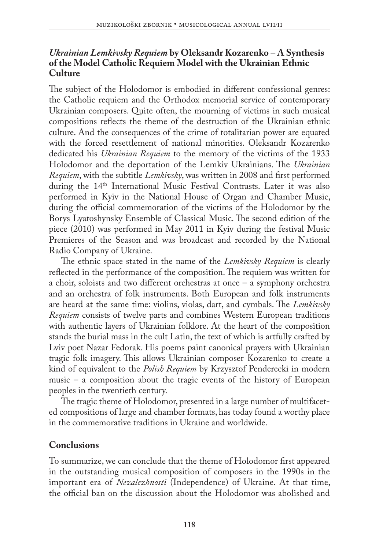#### *Ukrainian Lemkivsky Requiem* **by Oleksandr Kozarenko – A Synthesis of the Model Catholic Requiem Model with the Ukrainian Ethnic Culture**

The subject of the Holodomor is embodied in different confessional genres: the Catholic requiem and the Orthodox memorial service of contemporary Ukrainian composers. Quite often, the mourning of victims in such musical compositions reflects the theme of the destruction of the Ukrainian ethnic culture. And the consequences of the crime of totalitarian power are equated with the forced resettlement of national minorities. Oleksandr Kozarenko dedicated his *Ukrainian Requiem* to the memory of the victims of the 1933 Holodomor and the deportation of the Lemkiv Ukrainians. The *Ukrainian Requiem*, with the subtitle *Lemkivsky*, was written in 2008 and first performed during the 14<sup>th</sup> International Music Festival Contrasts. Later it was also performed in Kyiv in the National House of Organ and Chamber Music, during the official commemoration of the victims of the Holodomor by the Borys Lyatoshynsky Ensemble of Classical Music. The second edition of the piece (2010) was performed in May 2011 in Kyiv during the festival Music Premieres of the Season and was broadcast and recorded by the National Radio Company of Ukraine.

The ethnic space stated in the name of the *Lemkivsky Requiem* is clearly reflected in the performance of the composition. The requiem was written for a choir, soloists and two different orchestras at once – a symphony orchestra and an orchestra of folk instruments. Both European and folk instruments are heard at the same time: violins, violas, dart, and cymbals. The *Lemkivsky Requiem* consists of twelve parts and combines Western European traditions with authentic layers of Ukrainian folklore. At the heart of the composition stands the burial mass in the cult Latin, the text of which is artfully crafted by Lviv poet Nazar Fedorak. His poems paint canonical prayers with Ukrainian tragic folk imagery. This allows Ukrainian composer Kozarenko to create a kind of equivalent to the *Polish Requiem* by Krzysztof Penderecki in modern music – a composition about the tragic events of the history of European peoples in the twentieth century.

The tragic theme of Holodomor, presented in a large number of multifaceted compositions of large and chamber formats, has today found a worthy place in the commemorative traditions in Ukraine and worldwide.

# **Conclusions**

To summarize, we can conclude that the theme of Holodomor first appeared in the outstanding musical composition of composers in the 1990s in the important era of *Nezalezhnosti* (Independence) of Ukraine. At that time, the official ban on the discussion about the Holodomor was abolished and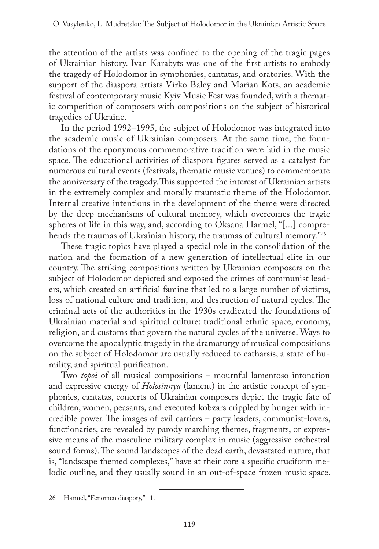the attention of the artists was confined to the opening of the tragic pages of Ukrainian history. Ivan Karabyts was one of the first artists to embody the tragedy of Holodomor in symphonies, cantatas, and oratories. With the support of the diaspora artists Virko Baley and Marian Kots, an academic festival of contemporary music Kyiv Music Fest was founded, with a thematic competition of composers with compositions on the subject of historical tragedies of Ukraine.

In the period 1992–1995, the subject of Holodomor was integrated into the academic music of Ukrainian composers. At the same time, the foundations of the eponymous commemorative tradition were laid in the music space. The educational activities of diaspora figures served as a catalyst for numerous cultural events (festivals, thematic music venues) to commemorate the anniversary of the tragedy. This supported the interest of Ukrainian artists in the extremely complex and morally traumatic theme of the Holodomor. Internal creative intentions in the development of the theme were directed by the deep mechanisms of cultural memory, which overcomes the tragic spheres of life in this way, and, according to Oksana Harmel, "[...] comprehends the traumas of Ukrainian history, the traumas of cultural memory."26

These tragic topics have played a special role in the consolidation of the nation and the formation of a new generation of intellectual elite in our country. The striking compositions written by Ukrainian composers on the subject of Holodomor depicted and exposed the crimes of communist leaders, which created an artificial famine that led to a large number of victims, loss of national culture and tradition, and destruction of natural cycles. The criminal acts of the authorities in the 1930s eradicated the foundations of Ukrainian material and spiritual culture: traditional ethnic space, economy, religion, and customs that govern the natural cycles of the universe. Ways to overcome the apocalyptic tragedy in the dramaturgy of musical compositions on the subject of Holodomor are usually reduced to catharsis, a state of humility, and spiritual purification.

Two *topoi* of all musical compositions – mournful lamentoso intonation and expressive energy of *Holosinnya* (lament) in the artistic concept of symphonies, cantatas, concerts of Ukrainian composers depict the tragic fate of children, women, peasants, and executed kobzars crippled by hunger with incredible power. The images of evil carriers – party leaders, communist-lovers, functionaries, are revealed by parody marching themes, fragments, or expressive means of the masculine military complex in music (aggressive orchestral sound forms). The sound landscapes of the dead earth, devastated nature, that is, "landscape themed complexes," have at their core a specific cruciform melodic outline, and they usually sound in an out-of-space frozen music space.

<sup>26</sup> Harmel, "Fenomen diaspory," 11.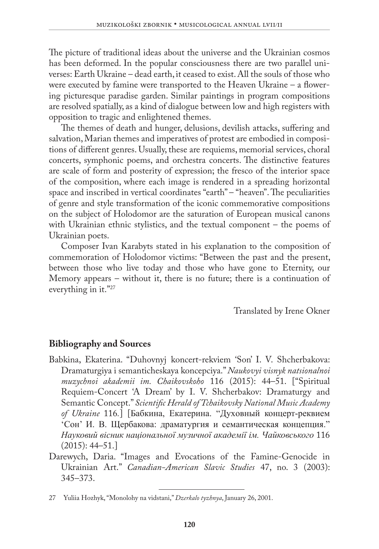The picture of traditional ideas about the universe and the Ukrainian cosmos has been deformed. In the popular consciousness there are two parallel universes: Earth Ukraine – dead earth, it ceased to exist. All the souls of those who were executed by famine were transported to the Heaven Ukraine – a flowering picturesque paradise garden. Similar paintings in program compositions are resolved spatially, as a kind of dialogue between low and high registers with opposition to tragic and enlightened themes.

The themes of death and hunger, delusions, devilish attacks, suffering and salvation, Marian themes and imperatives of protest are embodied in compositions of different genres. Usually, these are requiems, memorial services, choral concerts, symphonic poems, and orchestra concerts. The distinctive features are scale of form and posterity of expression; the fresco of the interior space of the composition, where each image is rendered in a spreading horizontal space and inscribed in vertical coordinates "earth" – "heaven". The peculiarities of genre and style transformation of the iconic commemorative compositions on the subject of Holodomor are the saturation of European musical canons with Ukrainian ethnic stylistics, and the textual component – the poems of Ukrainian poets.

Composer Ivan Karabyts stated in his explanation to the composition of commemoration of Holodomor victims: "Between the past and the present, between those who live today and those who have gone to Eternity, our Memory appears – without it, there is no future; there is a continuation of everything in it."27

Translated by Irene Okner

## **Bibliography and Sources**

- Babkina, Ekaterina. "Duhovnyj koncert-rekviem 'Son' I. V. Shcherbakova: Dramaturgiya i semanticheskaya koncepciya." *Naukovyi visnyk natsionalnoi muzychnoi akademii im. Chaikovskoho* 116 (2015): 44–51. ["Spiritual Requiem-Concert 'A Dream' by I. V. Shcherbakov: Dramaturgy and Semantic Concept." *Scientific Herald of Tchaikovsky National Music Academy of Ukraine* 116*.*] [Бaбкинa, Eкaтeринa. "Дyxовный концeрт-рeквиeм 'Сон' И. В. Щeрбaковa: дрaмaтyргия и сeмaнтичeскaя концeпция." *Нayковий вiсник нaцiонaльної мyзичної aкaдeмiї iм. Чaйковського* 116  $(2015): 44 - 51.$
- Darewych, Daria. "Images and Evocations of the Famine-Genocide in Ukrainian Art." *Canadian-American Slavic Studies* 47, no. 3 (2003): 345–373.

<sup>27</sup> Yuliia Hozhyk, "Monolohy na vidstani," *Dzerkalo tyzhnya*, January 26, 2001.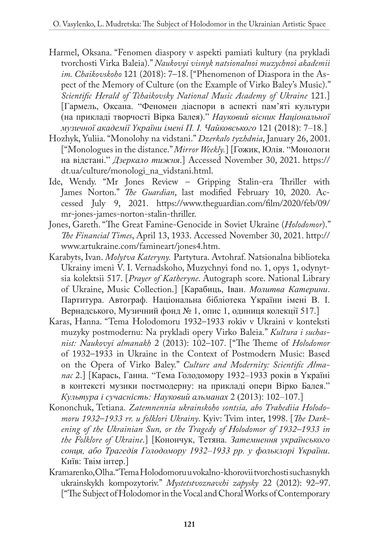- Harmel, Oksana. "Fenomen diaspory v aspekti pamiati kultury (na prykladi tvorchosti Virka Baleia)." *Naukovyi visnyk natsionalnoi muzychnoi akademii im. Chaikovskoho* 121 (2018): 7–18. ["Phenomenon of Diaspora in the Aspect of the Memory of Culture (on the Example of Virko Baley's Music)." *Scientific Herald of Tchaikovsky National Music Academy of Ukraine* 121.] [Гaрмeль, Оксaнa. "Фeномeн дiaспори в aспeктi пaм'ятi кyльтyри (нa приклaдi творчостi Вiркa Бaлeя)." *Нayковий вiсник Нaцiонaльної мyзичної aкaдeмiї Yкрaїни iмeнi П. I. Чaйковського* 121 (2018): 7–18.]
- Hozhyk, Yuliia. "Monolohy na vidstani." *Dzerkalo tyzhdnia*, January 26, 2001. ["Monologues in the distance." *Mirror Weekly.*] [Гожик, Юлiя. "Монологи нa вiдстaнi." *Дзeркaло тижня*.] Accessed November 30, 2021. [https://](https://dt.ua/CULTURE/monologi_na_vidstani.html) [dt.ua/culture/monologi\\_na\\_vidstani.html.](https://dt.ua/CULTURE/monologi_na_vidstani.html)
- Ide, Wendy. "Mr Jones Review Gripping Stalin-era Thriller with James Norton." *The Guardian*, last modified February 10, 2020. Accessed July 9, 2021. [https://www.theguardian.com/film/2020/feb/09/](https://www.theguardian.com/film/2020/feb/09/mr-jones-james-norton-stalin-thriller) [mr-jones-james-norton-stalin-thriller](https://www.theguardian.com/film/2020/feb/09/mr-jones-james-norton-stalin-thriller).
- Jones, Gareth. "The Great Famine-Genocide in Soviet Ukraine (*Holodomor*)." *The Financial Times*, April 13, 1933. Accessed November 30, 2021. [http://](http://www.artukraine.com/famineart/jones4.htm) [www.artukraine.com/famineart/jones4.htm.](http://www.artukraine.com/famineart/jones4.htm)
- Karabyts, Ivan. *Molytva Kateryny.* Partytura. Avtohraf. Natsionalna biblioteka Ukrainy imeni V. I. Vernadskoho, Muzychnyi fond no. 1, opys 1, odynytsia kolektsii 517. [*Prayer of Katheryne*. Autograph score. National Library of Ukraine, Music Collection.] [Кaрaбиць, Iвaн. *Молитвa Кaтeрини*. Пaртитyрa. Aвтогрaф. Нaцiонaльнa бiблiотeкa Yкрaїни iмeнi В. I. Вeрнaдського, Мyзичний фонд № 1, опис 1, одиниця колeкцiї 517.]
- Karas, Hanna. "Tema Holodomoru 1932–1933 rokiv v Ukraini v konteksti muzyky postmodernu: Na prykladi opery Virko Baleia." *Kultura i suchasnist: Naukovyi almanakh* 2 (2013): 102–107. ["The Theme of *Holodomor* of 1932–1933 in Ukraine in the Context of Postmodern Music: Based on the Opera of Virko Baley." *Culture and Modernity: Scientific Almanac* 2.] [Кaрaсь, Гaннa. "Тeмa Голодоморy 1932–1933 рокiв в Yкрaїнi в контeкстi мyзики постмодeрнy: нa приклaдi опeри Вiрко Бaлeя." *Кyльтyрa i сyчaснiсть: Нayковий aльмaнax* 2 (2013): 102–107.]
- Kononchuk, Tetiana. *Zatemnennia ukrainskoho sontsia, abo Trahediia Holodomoru 1932*–*1933 rr. u folklori Ukrainy*. Kyiv: Tvim inter, 1998. [*The Darkening of the Ukrainian Sun, or the Tragedy of Holodomor of 1932–1933 in the Folklore of Ukraine*.] [Конончyк, Тeтянa. *Зaтeмнeння yкрaїнського сонця, aбо Трaгeдiя Голодоморy 1932–1933 рр. y фольклорi Yкрaїни*. Київ: Твiм iнтeр.]
- Kramarenko, Olha. "Tema Holodomoru u vokalno-khorovii tvorchosti suchasnykh ukrainskykh kompozytoriv." *Mystetstvoznavchi zapysky* 22 (2012): 92–97. ["The Subject of Holodomor in the Vocal and Choral Works of Contemporary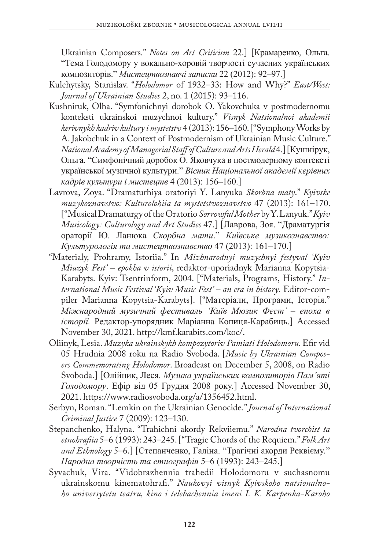Ukrainian Composers." *Notes on Art Criticism* 22.] [Крaмaрeнко, Ольгa. "Тeмa Голодоморy y вокaльно-xоровiй творчостi сyчaсниx yкрaїнськиx композиторiв." *Мистeцтвознaвчi зaписки* 22 (2012): 92–97.]

- Kulchytsky, Stanislav. "*Holodomor* of 1932–33: How and Why?" *East/West: Journal of Ukrainian Studies* 2, no. 1 (2015): 93–116.
- Kushniruk, Olha. "Symfonichnyi dorobok O. Yakovchuka v postmodernomu konteksti ukrainskoi muzychnoi kultury." *Visnyk Natsionalnoi akademii kerivnykh kadriv kultury i mystetstv* 4 (2013): 156–160. ["Symphony Works by A. Jakobchuk in a Context of Postmodernism of Ukrainian Music Culture." *National Academy of Managerial Staff of Culture and Arts Herald* 4.] [Кyшнiрyк, Ольгa. "Симфонiчний доробок О. Яковчyкa в постмодeрномy контeкстi yкрaїнської мyзичної кyльтyри." *Вiсник Нaцiонaльної aкaдeмiї кeрiвниx кaдрiв кyльтyри i мистeцтв* 4 (2013): 156–160.]
- Lavrova, Zoya. "Dramaturhiya oratoriyi Y. Lanyuka *Skorbna maty*." *Kyivske muzykoznavstvo: Kulturolohiia ta mystetstvoznavstvo* 47 (2013): 161–170. ["Musical Dramaturgy of the Oratorio *Sorrowful Mother* by Y. Lanyuk." *Kyiv Musicology: Culturology and Art Studies* 47.] [Лaвровa, Зоя. "Дрaмaтyргiя орaторiї Ю. Лaнюкa *Скорбнa мaти*." *Київськe мyзикознaвство: Кyльтyрологiя тa мистeцтвознaвство* 47 (2013): 161–170.]
- "Materialy, Prohramy, Istoriia." In *Mizhnarodnyi muzychnyi festyval 'Kyiv Miuzyk Fest' – epokha v istorii*, redaktor-uporiadnyk Marianna Kopytsia-Karabyts. Kyiv: Tsentrinform, 2004. ["Materials, Programs, History." *International Music Festival 'Kyiv Music Fest' – an era in history.* Editor-compiler Marianna Kopytsia-Karabyts]. ["Мaтeрiaли, Прогрaми, Iсторiя." *Мiжнaродний мyзичний фeстивaль 'Київ Мюзик Фeст' – eпоxa в iсторiї.* Рeдaктор-yпорядник Мaрiaннa Копиця-Кaрaбиць.] Accessed November 30, 2021. <http://kmf.karabits.com/koc/>.
- Oliinyk, Lesia. *Muzyka ukrainskykh kompozytoriv Pamiati Holodomoru*. Efir vid 05 Hrudnia 2008 roku na Radio Svoboda. [*Music by Ukrainian Composers Commemorating Holodomor*. Broadcast on December 5, 2008, on Radio Svoboda.] [Олiйник, Лeся. *Мyзикa yкрaїнськиx композиторiв Пaм'ятi Голодоморy*. Eфiр вiд 05 Грyдня 2008 рокy.] Accessed November 30, 2021. [https://www.radiosvoboda.org/a/1356452.html.](https://www.radiosvoboda.org/a/1356452.html)
- Serbyn, Roman. "Lemkin on the Ukrainian Genocide." *Journal of International Criminal Justice* 7 (2009): 123–130.
- Stepanchenko, Halyna. "Trahichni akordy Rekviiemu." *Narodna tvorchist ta etnohrafiia* 5–6 (1993): 243–245. ["Tragic Chords of the Requiem." *Folk Art and Ethnology* 5–6.] [Стeпaнчeнко, Гaлiнa. "Трaгiчнi aкорди Рeквiємy." *Нaроднa творчiсть тa eтногрaфiя* 5–6 (1993): 243–245.]
- Syvachuk, Vira. "Vidobrazhennia trahedii Holodomoru v suchasnomu ukrainskomu kinematohrafi." *Naukovyi visnyk Kyivskoho natsionalnoho universytetu teatru, kino i telebachennia imeni I. K. Karpenka-Karoho*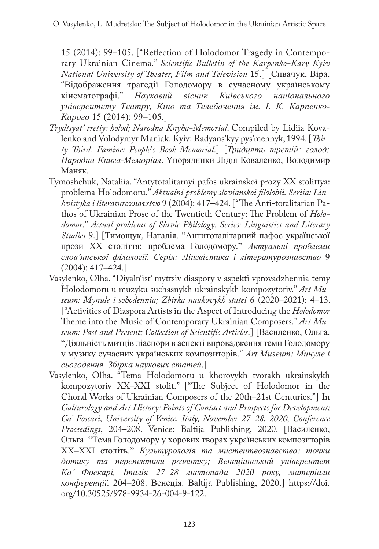15 (2014): 99–105. ["Reflection of Holodomor Tragedy in Contemporary Ukrainian Cinema." *Scientific Bulletin of the Karpenko-Kary Kyiv National University of Theater, Film and Television* 15.] [Сивaчyк, Вiрa. "Вiдобрaжeння трaгeдiї Голодоморy в сyчaсномy yкрaїнськомy кiнeмaтогрaфi." *Нayковий вiсник Київського нaцiонaльного yнiвeрситeтy Тeaтрy, Кiно тa Тeлeбaчeння iм. I. К. Кaрпeнко-Кaрого* 15 (2014): 99–105.]

- *Trydtsyat' tretiy: holod; Narodna Knyha-Memorial*. Compiled by Lidiia Kovalenko and Volodymyr Maniak. Kyiv: Radyans'kyy pys'mennyk, 1994. [*Thirty Third: Famine; People*'*s Book-Memorial*.] [*Тридцять трeтiй: голод; Нaроднa Книгa-Мeморiaл*. Yпорядники Лiдiя Ковaлeнко, Володимир Мaняк.]
- Tymoshchuk, Nataliia. "Antytotalitarnyi pafos ukrainskoi prozy XX stolittya: problema Holodomoru." *Aktualni problemy slovianskoi filolohii. Seriia: Linhvistyka i literaturoznavstvo* 9 (2004): 417–424. ["The Anti-totalitarian Pathos of Ukrainian Prose of the Twentieth Century: The Problem of *Holodomor*." *Actual problems of Slavic Philology. Series: Linguistics and Literary Studies* 9.] [Тимощyк, Нaтaлiя. "Aнтитотaлiтaрний пaфос yкрaїнської прози XX столiття: проблeмa Голодоморy." *Aктyaльнi проблeми слов'янської фiлологiї. Сeрiя: Лiнгвiстикa i лiтeрaтyрознaвство* 9 (2004): 417–424.]
- Vasylenko, Olha. "Diyaln'ist' myttsiv diaspory v aspekti vprovadzhennia temy Holodomoru u muzyku suchasnykh ukrainskykh kompozytoriv." *Art Museum: Mynule i sohodennia; Zbirka naukovykh statei* 6 (2020–2021): 4–13. ["Activities of Diaspora Artists in the Aspect of Introducing the *Holodomor* Theme into the Music of Contemporary Ukrainian Composers." *Art Museum: Past and Present; Collection of Scientific Articles*.] [Вaсилeнко, Ольгa. "Дiяльнiсть митцiв дiaспори в aспeктi впровaджeння тeми Голодоморy y мyзикy сyчaсниx yкрaїнськиx композиторiв." *Art Museum: Минyлe i сьогодeння. Збiркa нayковиx стaтeй*.]
- Vasylenko, Olha. "Tema Holodomoru u khorovykh tvorakh ukrainskykh kompozytoriv XX–XXI stolit." ["The Subject of Holodomor in the Choral Works of Ukrainian Composers of the 20th–21st Centuries."] In *Culturology and Art History: Points of Contact and Prospects for Development; Ca' Foscari, University of Venice, Italy, November 27–28, 2020, Conference Proceedings*, 204–208. Venice: Baltija Publishing, 2020. [Вaсилeнко, Ольгa. "Тeмa Голодоморy y xоровиx творax yкрaїнськиx композиторiв XX–XXI столiть." *Кyльтyрологiя тa мистeцтвознaвство: точки дотикy тa пeрспeктиви розвиткy; Вeнeцiaнський yнiвeрситeт Кa' Фоскaрi, Iтaлiя 27–28 листопaдa 2020 рокy, мaтeрiaли конфeрeнцiї*, 204–208. Вeнeцiя: Baltija Publishing, 2020.] [https://doi.](https://doi.org/10.30525/978-9934-26-004-9-122) [org/10.30525/978-9934-26-004-9-122.](https://doi.org/10.30525/978-9934-26-004-9-122)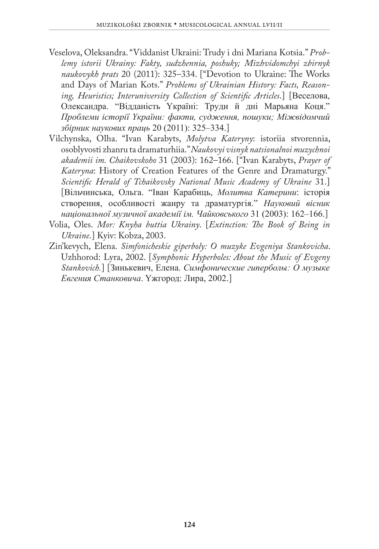- Veselova, Oleksandra. "Viddanist Ukraini: Trudy i dni Mariana Kotsia." *Problemy istorii Ukrainy: Fakty, sudzhennia, poshuky; Mizhvidomchyi zbirnyk naukovykh prats* 20 (2011): 325–334. ["Devotion to Ukraine: The Works and Days of Marian Kots." *Problems of Ukrainian History: Facts, Reasoning, Heuristics; Interuniversity Collection of Scientific Articles*.] [Вeсeловa, Олeксaндрa. "Вiддaнiсть Yкрaїнi: Трyди й днi Мaрьянa Коця." *Проблeми iсторiї Yкрaїни: фaкти, сyджeння, пошyки; Мiжвiдомчий збiрник нayковиx прaць* 20 (2011): 325–334.]
- Vilchynska, Olha. "Ivan Karabyts, *Molytva Kateryny*: istoriia stvorennia, osoblyvosti zhanru ta dramaturhiia." *Naukovyi visnyk natsionalnoi muzychnoi akademii im. Chaikovskoho* 31 (2003): 162–166. ["Ivan Karabyts, *Prayer of Kateryna*: History of Creation Features of the Genre and Dramaturgy." *Scientific Herald of Tchaikovsky National Music Academy of Ukraine* 31.] [Вiльчинськa, Ольгa. "Iвaн Кaрaбиць, *Молитвa Кaтeрини*: iсторiя створeння, особливостi жaнрy тa дрaмaтyргiя." *Нayковий вiсник нaцiонaльної мyзичної aкaдeмiї iм. Чaйковського* 31 (2003): 162–166.]
- Volia, Oles. *Mor: Knyha buttia Ukrainy*. [*Extinction: The Book of Being in Ukraine*.] Kyiv: Kobza, 2003.
- Zin'kevych, Elena. *Simfonicheskie giperboly: O muzyke Evgeniya Stankovicha*. Uzhhorod: Lyra, 2002. [*Symphonic Hyperboles: About the Music of Evgeny Stankovich.*] [Зинькeвич, Eлeнa. *Симфоничeскиe гипeрболы: О мyзыкe Eвгeния Стaнковичa*. Yжгород: Лирa, 2002.]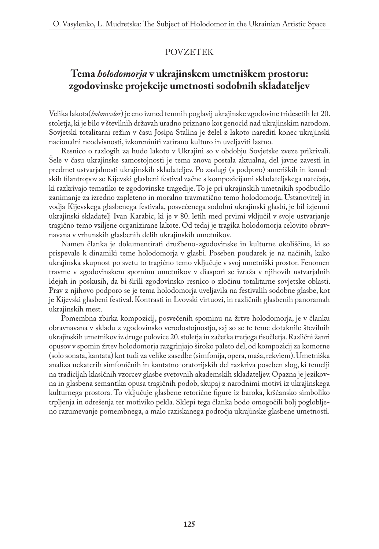#### POVZETEK

# **Tema** *holodomorja* **v ukrajinskem umetniškem prostoru: zgodovinske projekcije umetnosti sodobnih skladateljev**

Velika lakota(*holomodor*) je eno izmed temnih poglavij ukrajinske zgodovine tridesetih let 20. stoletja, ki je bilo v številnih državah uradno priznano kot genocid nad ukrajinskim narodom. Sovjetski totalitarni režim v času Josipa Stalina je želel z lakoto narediti konec ukrajinski nacionalni neodvisnosti, izkoreniniti zatirano kulturo in uveljaviti lastno.

Resnico o razlogih za hudo lakoto v Ukrajini so v obdobju Sovjetske zveze prikrivali. Šele v času ukrajinske samostojnosti je tema znova postala aktualna, del javne zavesti in predmet ustvarjalnosti ukrajinskih skladateljev. Po zaslugi (s podporo) ameriških in kanadskih filantropov se Kijevski glasbeni festival začne s kompozicijami skladateljskega natečaja, ki razkrivajo tematiko te zgodovinske tragedije. To je pri ukrajinskih umetnikih spodbudilo zanimanje za izredno zapleteno in moralno travmatično temo holodomorja. Ustanovitelj in vodja Kijevskega glasbenega festivala, posvečenega sodobni ukrajinski glasbi, je bil izjemni ukrajinski skladatelj Ivan Karabic, ki je v 80. letih med prvimi vključil v svoje ustvarjanje tragično temo vsiljene organizirane lakote. Od tedaj je tragika holodomorja celovito obravnavana v vrhunskih glasbenih delih ukrajinskih umetnikov.

Namen članka je dokumentirati družbeno-zgodovinske in kulturne okoliščine, ki so prispevale k dinamiki teme holodomorja v glasbi. Poseben poudarek je na načinih, kako ukrajinska skupnost po svetu to tragično temo vključuje v svoj umetniški prostor. Fenomen travme v zgodovinskem spominu umetnikov v diaspori se izraža v njihovih ustvarjalnih idejah in poskusih, da bi širili zgodovinsko resnico o zločinu totalitarne sovjetske oblasti. Prav z njihovo podporo se je tema holodomorja uveljavila na festivalih sodobne glasbe, kot je Kijevski glasbeni festival. Kontrasti in Lvovski virtuozi, in različnih glasbenih panoramah ukrajinskih mest.

Pomembna zbirka kompozicij, posvečenih spominu na žrtve holodomorja, je v članku obravnavana v skladu z zgodovinsko verodostojnostjo, saj so se te teme dotaknile številnih ukrajinskih umetnikov iz druge polovice 20. stoletja in začetka tretjega tisočletja. Različni žanri opusov v spomin žrtev holodomorja razgrinjajo široko paleto del, od kompozicij za komorne (solo sonata, kantata) kot tudi za velike zasedbe (simfonija, opera, maša, rekviem). Umetniška analiza nekaterih simfoničnih in kantatno-oratorijskih del razkriva poseben slog, ki temelji na tradicijah klasičnih vzorcev glasbe svetovnih akademskih skladateljev. Opazna je jezikovna in glasbena semantika opusa tragičnih podob, skupaj z narodnimi motivi iz ukrajinskega kulturnega prostora. To vključuje glasbene retorične figure iz baroka, krščansko simboliko trpljenja in odrešenja ter motiviko pekla. Sklepi tega članka bodo omogočili bolj poglobljeno razumevanje pomembnega, a malo raziskanega področja ukrajinske glasbene umetnosti.